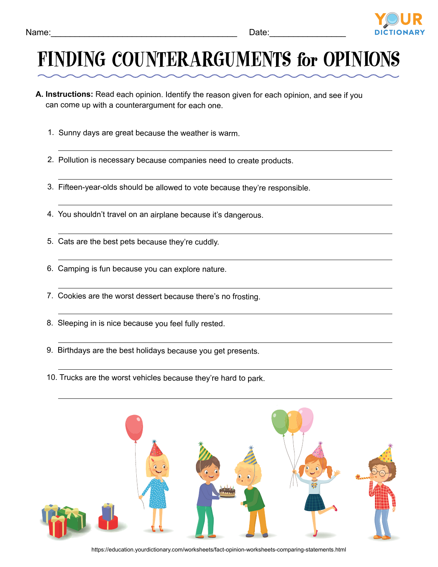

## FINDING COUNTERARGUMENTS for OPINIONS

- **A. Instructions:** Read each opinion. Identify the reason given for each opinion, and see if you can come up with a counterargument for each one.
	- 1. Sunny days are great because the weather is warm.
	- 2. Pollution is necessary because companies need to create products.
	- 3. Fifteen-year-olds should be allowed to vote because they're responsible.
	- 4. You shouldn't travel on an airplane because it's dangerous.
	- 5. Cats are the best pets because they're cuddly.
	- 6. Camping is fun because you can explore nature.
	- 7. Cookies are the worst dessert because there's no frosting.
	- 8. Sleeping in is nice because you feel fully rested.
	- 9. Birthdays are the best holidays because you get presents.
	- 10. Trucks are the worst vehicles because they're hard to park.